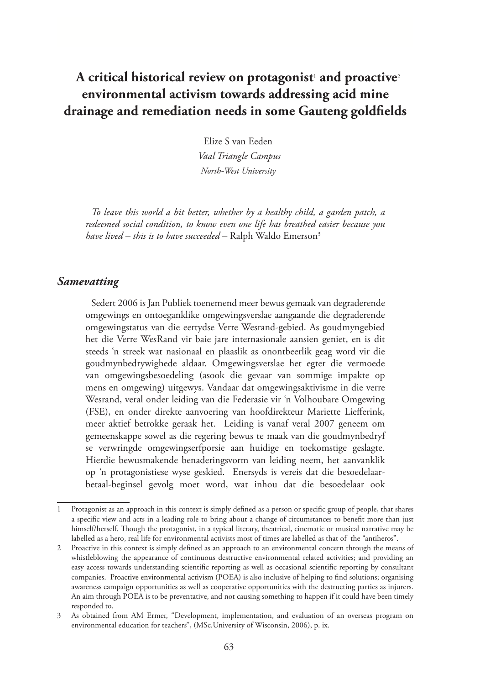# **A critical historical review on protagonist**<sup>1</sup>  **and proactive**<sup>2</sup> **environmental activism towards addressing acid mine drainage and remediation needs in some Gauteng goldfields**

Elize S van Eeden  *Vaal Triangle Campus North-West University*

*To leave this world a bit better, whether by a healthy child, a garden patch, a redeemed social condition, to know even one life has breathed easier because you have lived – this is to have succeeded –* Ralph Waldo Emerson3

#### *Samevatting*

Sedert 2006 is Jan Publiek toenemend meer bewus gemaak van degraderende omgewings en ontoeganklike omgewingsverslae aangaande die degraderende omgewingstatus van die eertydse Verre Wesrand-gebied. As goudmyngebied het die Verre WesRand vir baie jare internasionale aansien geniet, en is dit steeds 'n streek wat nasionaal en plaaslik as onontbeerlik geag word vir die goudmynbedrywighede aldaar. Omgewingsverslae het egter die vermoede van omgewingsbesoedeling (asook die gevaar van sommige impakte op mens en omgewing) uitgewys. Vandaar dat omgewingsaktivisme in die verre Wesrand, veral onder leiding van die Federasie vir 'n Volhoubare Omgewing (FSE), en onder direkte aanvoering van hoofdirekteur Mariette Liefferink, meer aktief betrokke geraak het. Leiding is vanaf veral 2007 geneem om gemeenskappe sowel as die regering bewus te maak van die goudmynbedryf se verwringde omgewingserfporsie aan huidige en toekomstige geslagte. Hierdie bewusmakende benaderingsvorm van leiding neem, het aanvanklik op 'n protagonistiese wyse geskied. Enersyds is vereis dat die besoedelaarbetaal-beginsel gevolg moet word, wat inhou dat die besoedelaar ook

<sup>1</sup> Protagonist as an approach in this context is simply defined as a person or specific group of people, that shares a specific view and acts in a leading role to bring about a change of circumstances to benefit more than just himself/herself. Though the protagonist, in a typical literary, theatrical, cinematic or musical narrative may be labelled as a hero, real life for environmental activists most of times are labelled as that of the "antiheros".

<sup>2</sup> Proactive in this context is simply defined as an approach to an environmental concern through the means of whistleblowing the appearance of continuous destructive environmental related activities; and providing an easy access towards understanding scientific reporting as well as occasional scientific reporting by consultant companies. Proactive environmental activism (POEA) is also inclusive of helping to find solutions; organising awareness campaign opportunities as well as cooperative opportunities with the destructing parties as injurers. An aim through POEA is to be preventative, and not causing something to happen if it could have been timely responded to.

<sup>3</sup> As obtained from AM Ermer, "Development, implementation, and evaluation of an overseas program on environmental education for teachers", (MSc.University of Wisconsin, 2006), p. ix.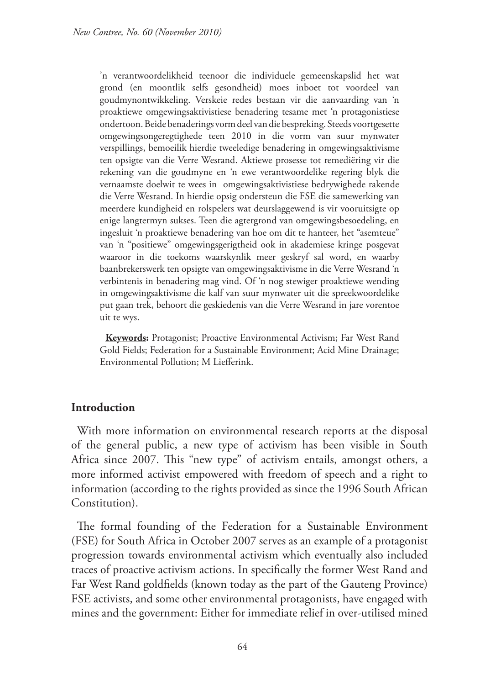'n verantwoordelikheid teenoor die individuele gemeenskapslid het wat grond (en moontlik selfs gesondheid) moes inboet tot voordeel van goudmynontwikkeling. Verskeie redes bestaan vir die aanvaarding van 'n proaktiewe omgewingsaktivistiese benadering tesame met 'n protagonistiese ondertoon. Beide benaderings vorm deel van die bespreking. Steeds voortgesette omgewingsongeregtighede teen 2010 in die vorm van suur mynwater verspillings, bemoeilik hierdie tweeledige benadering in omgewingsaktivisme ten opsigte van die Verre Wesrand. Aktiewe prosesse tot remediëring vir die rekening van die goudmyne en 'n ewe verantwoordelike regering blyk die vernaamste doelwit te wees in omgewingsaktivistiese bedrywighede rakende die Verre Wesrand. In hierdie opsig ondersteun die FSE die samewerking van meerdere kundigheid en rolspelers wat deurslaggewend is vir vooruitsigte op enige langtermyn sukses. Teen die agtergrond van omgewingsbesoedeling, en ingesluit 'n proaktiewe benadering van hoe om dit te hanteer, het "asemteue" van 'n "positiewe" omgewingsgerigtheid ook in akademiese kringe posgevat waaroor in die toekoms waarskynlik meer geskryf sal word, en waarby baanbrekerswerk ten opsigte van omgewingsaktivisme in die Verre Wesrand 'n verbintenis in benadering mag vind. Of 'n nog stewiger proaktiewe wending in omgewingsaktivisme die kalf van suur mynwater uit die spreekwoordelike put gaan trek, behoort die geskiedenis van die Verre Wesrand in jare vorentoe uit te wys.

**Keywords:** Protagonist; Proactive Environmental Activism; Far West Rand Gold Fields; Federation for a Sustainable Environment; Acid Mine Drainage; Environmental Pollution; M Liefferink.

# **Introduction**

With more information on environmental research reports at the disposal of the general public, a new type of activism has been visible in South Africa since 2007. This "new type" of activism entails, amongst others, a more informed activist empowered with freedom of speech and a right to information (according to the rights provided as since the 1996 South African Constitution).

The formal founding of the Federation for a Sustainable Environment (FSE) for South Africa in October 2007 serves as an example of a protagonist progression towards environmental activism which eventually also included traces of proactive activism actions. In specifically the former West Rand and Far West Rand goldfields (known today as the part of the Gauteng Province) FSE activists, and some other environmental protagonists, have engaged with mines and the government: Either for immediate relief in over-utilised mined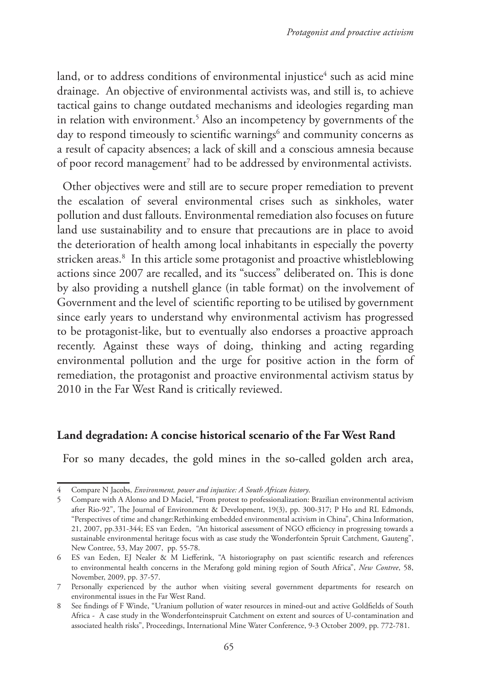land, or to address conditions of environmental injustice $\mathrm{^4}$  such as acid mine drainage. An objective of environmental activists was, and still is, to achieve tactical gains to change outdated mechanisms and ideologies regarding man in relation with environment.5 Also an incompetency by governments of the day to respond timeously to scientific warnings<sup>6</sup> and community concerns as a result of capacity absences; a lack of skill and a conscious amnesia because of poor record management<sup>7</sup> had to be addressed by environmental activists.

Other objectives were and still are to secure proper remediation to prevent the escalation of several environmental crises such as sinkholes, water pollution and dust fallouts. Environmental remediation also focuses on future land use sustainability and to ensure that precautions are in place to avoid the deterioration of health among local inhabitants in especially the poverty stricken areas.8 In this article some protagonist and proactive whistleblowing actions since 2007 are recalled, and its "success" deliberated on. This is done by also providing a nutshell glance (in table format) on the involvement of Government and the level of scientific reporting to be utilised by government since early years to understand why environmental activism has progressed to be protagonist-like, but to eventually also endorses a proactive approach recently. Against these ways of doing, thinking and acting regarding environmental pollution and the urge for positive action in the form of remediation, the protagonist and proactive environmental activism status by 2010 in the Far West Rand is critically reviewed.

# **Land degradation: A concise historical scenario of the Far West Rand**

For so many decades, the gold mines in the so-called golden arch area,

<sup>4</sup> Compare N Jacobs, *Environment, power and injustice: A South African history*.

<sup>5</sup> Compare with A Alonso and D Maciel, "From protest to professionalization: Brazilian environmental activism after Rio-92", The Journal of Environment & Development, 19(3), pp. 300-317; P Ho and RL Edmonds, "Perspectives of time and change:Rethinking embedded environmental activism in China", China Information, 21, 2007, pp.331-344; ES van Eeden, "An historical assessment of NGO efficiency in progressing towards a sustainable environmental heritage focus with as case study the Wonderfontein Spruit Catchment, Gauteng", New Contree, 53, May 2007, pp. 55-78.

<sup>6</sup> ES van Eeden, EJ Nealer & M Liefferink, "A historiography on past scientific research and references to environmental health concerns in the Merafong gold mining region of South Africa", *New Contree*, 58, November, 2009, pp. 37-57.

<sup>7</sup> Personally experienced by the author when visiting several government departments for research on environmental issues in the Far West Rand.

<sup>8</sup> See findings of F Winde, "Uranium pollution of water resources in mined-out and active Goldfields of South Africa - A case study in the Wonderfonteinspruit Catchment on extent and sources of U-contamination and associated health risks", Proceedings, International Mine Water Conference, 9-3 October 2009, pp. 772-781.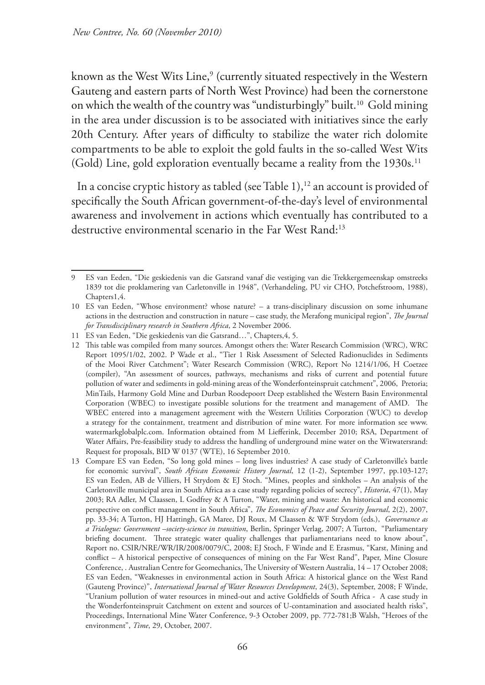known as the West Wits Line,<sup>9</sup> (currently situated respectively in the Western Gauteng and eastern parts of North West Province) had been the cornerstone on which the wealth of the country was "undisturbingly" built.10 Gold mining in the area under discussion is to be associated with initiatives since the early 20th Century. After years of difficulty to stabilize the water rich dolomite compartments to be able to exploit the gold faults in the so-called West Wits (Gold) Line, gold exploration eventually became a reality from the 1930s.<sup>11</sup>

In a concise cryptic history as tabled (see Table 1), $^{12}$  an account is provided of specifically the South African government-of-the-day's level of environmental awareness and involvement in actions which eventually has contributed to a destructive environmental scenario in the Far West Rand:<sup>13</sup>

<sup>9</sup> ES van Eeden, "Die geskiedenis van die Gatsrand vanaf die vestiging van die Trekkergemeenskap omstreeks 1839 tot die proklamering van Carletonville in 1948", (Verhandeling, PU vir CHO, Potchefstroom, 1988), Chapters1,4.

<sup>10</sup> ES van Eeden, "Whose environment? whose nature? – a trans-disciplinary discussion on some inhumane actions in the destruction and construction in nature – case study, the Merafong municipal region", *The Journal for Transdisciplinary research in Southern Africa*, 2 November 2006.

<sup>11</sup> ES van Eeden, "Die geskiedenis van die Gatsrand…", Chapters,4, 5.

<sup>12</sup> This table was compiled from many sources. Amongst others the: Water Research Commission (WRC), WRC Report 1095/1/02, 2002. P Wade et al., "Tier 1 Risk Assessment of Selected Radionuclides in Sediments of the Mooi River Catchment"; Water Research Commission (WRC), Report No 1214/1/06, H Coetzee (compiler), "An assessment of sources, pathways, mechanisms and risks of current and potential future pollution of water and sediments in gold-mining areas of the Wonderfonteinspruit catchment", 2006, Pretoria; MinTails, Harmony Gold Mine and Durban Roodepoort Deep established the Western Basin Environmental Corporation (WBEC) to investigate possible solutions for the treatment and management of AMD. The WBEC entered into a management agreement with the Western Utilities Corporation (WUC) to develop a strategy for the containment, treatment and distribution of mine water. For more information see www. watermarkglobalplc.com. Information obtained from M Liefferink, December 2010; RSA, Department of Water Affairs, Pre-feasibility study to address the handling of underground mine water on the Witwatersrand: Request for proposals, BID W 0137 (WTE), 16 September 2010.

<sup>13</sup> Compare ES van Eeden, "So long gold mines – long lives industries? A case study of Carletonville's battle for economic survival", *South African Economic History Journal*, 12 (1-2), September 1997, pp.103-127; ES van Eeden, AB de Villiers, H Strydom & EJ Stoch. "Mines, peoples and sinkholes – An analysis of the Carletonville municipal area in South Africa as a case study regarding policies of secrecy", *Historia*, 47(1), May 2003; RA Adler, M Claassen, L Godfrey & A Turton, "Water, mining and waste: An historical and economic perspective on conflict management in South Africa", *The Economics of Peace and Security Journal*, 2(2), 2007, pp. 33-34; A Turton, HJ Hattingh, GA Maree, DJ Roux, M Claassen & WF Strydom (eds.), *Governance as a Trialogue: Government –society-science in transition*, Berlin, Springer Verlag, 2007; A Turton, "Parliamentary briefing document. Three strategic water quality challenges that parliamentarians need to know about", Report no. CSIR/NRE/WR/IR/2008/0079/C, 2008; EJ Stoch, F Winde and E Erasmus, "Karst, Mining and conflict – A historical perspective of consequences of mining on the Far West Rand", Paper, Mine Closure Conference, . Australian Centre for Geomechanics, The University of Western Australia, 14 – 17 October 2008; ES van Eeden, "Weaknesses in environmental action in South Africa: A historical glance on the West Rand (Gauteng Province)", *International Journal of Water Resources Development*, 24(3), September, 2008; F Winde, "Uranium pollution of water resources in mined-out and active Goldfields of South Africa - A case study in the Wonderfonteinspruit Catchment on extent and sources of U-contamination and associated health risks", Proceedings, International Mine Water Conference, 9-3 October 2009, pp. 772-781;B Walsh, "Heroes of the environment", *Time*, 29, October, 2007.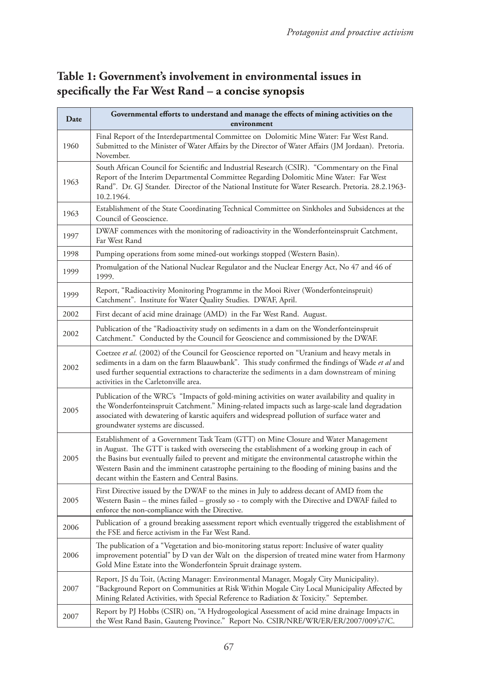# **Table 1: Government's involvement in environmental issues in specifically the Far West Rand – a concise synopsis**

| Date | Governmental efforts to understand and manage the effects of mining activities on the<br>environment                                                                                                                                                                                                                                                                                                                                       |  |
|------|--------------------------------------------------------------------------------------------------------------------------------------------------------------------------------------------------------------------------------------------------------------------------------------------------------------------------------------------------------------------------------------------------------------------------------------------|--|
| 1960 | Final Report of the Interdepartmental Committee on Dolomitic Mine Water: Far West Rand.<br>Submitted to the Minister of Water Affairs by the Director of Water Affairs (JM Jordaan). Pretoria.<br>November.                                                                                                                                                                                                                                |  |
| 1963 | South African Council for Scientific and Industrial Research (CSIR). "Commentary on the Final<br>Report of the Interim Departmental Committee Regarding Dolomitic Mine Water: Far West<br>Rand". Dr. GJ Stander. Director of the National Institute for Water Research. Pretoria. 28.2.1963-<br>10.2.1964.                                                                                                                                 |  |
| 1963 | Establishment of the State Coordinating Technical Committee on Sinkholes and Subsidences at the<br>Council of Geoscience.                                                                                                                                                                                                                                                                                                                  |  |
| 1997 | DWAF commences with the monitoring of radioactivity in the Wonderfonteinspruit Catchment,<br>Far West Rand                                                                                                                                                                                                                                                                                                                                 |  |
| 1998 | Pumping operations from some mined-out workings stopped (Western Basin).                                                                                                                                                                                                                                                                                                                                                                   |  |
| 1999 | Promulgation of the National Nuclear Regulator and the Nuclear Energy Act, No 47 and 46 of<br>1999.                                                                                                                                                                                                                                                                                                                                        |  |
| 1999 | Report, "Radioactivity Monitoring Programme in the Mooi River (Wonderfonteinspruit)<br>Catchment". Institute for Water Quality Studies. DWAF, April.                                                                                                                                                                                                                                                                                       |  |
| 2002 | First decant of acid mine drainage (AMD) in the Far West Rand. August.                                                                                                                                                                                                                                                                                                                                                                     |  |
| 2002 | Publication of the "Radioactivity study on sediments in a dam on the Wonderfonteinspruit<br>Catchment." Conducted by the Council for Geoscience and commissioned by the DWAF.                                                                                                                                                                                                                                                              |  |
| 2002 | Coetzee et al. (2002) of the Council for Geoscience reported on "Uranium and heavy metals in<br>sediments in a dam on the farm Blaauwbank". This study confirmed the findings of Wade et al and<br>used further sequential extractions to characterize the sediments in a dam downstream of mining<br>activities in the Carletonville area.                                                                                                |  |
| 2005 | Publication of the WRC's "Impacts of gold-mining activities on water availability and quality in<br>the Wonderfonteinspruit Catchment." Mining-related impacts such as large-scale land degradation<br>associated with dewatering of karstic aquifers and widespread pollution of surface water and<br>groundwater systems are discussed.                                                                                                  |  |
| 2005 | Establishment of a Government Task Team (GTT) on Mine Closure and Water Management<br>in August. The GTT is tasked with overseeing the establishment of a working group in each of<br>the Basins but eventually failed to prevent and mitigate the environmental catastrophe within the<br>Western Basin and the imminent catastrophe pertaining to the flooding of mining basins and the<br>decant within the Eastern and Central Basins. |  |
| 2005 | First Directive issued by the DWAF to the mines in July to address decant of AMD from the<br>Western Basin – the mines failed – grossly so - to comply with the Directive and DWAF failed to<br>enforce the non-compliance with the Directive.                                                                                                                                                                                             |  |
| 2006 | Publication of a ground breaking assessment report which eventually triggered the establishment of<br>the FSE and fierce activism in the Far West Rand.                                                                                                                                                                                                                                                                                    |  |
| 2006 | The publication of a "Vegetation and bio-monitoring status report: Inclusive of water quality<br>improvement potential" by D van der Walt on the dispersion of treated mine water from Harmony<br>Gold Mine Estate into the Wonderfontein Spruit drainage system.                                                                                                                                                                          |  |
| 2007 | Report, JS du Toit, (Acting Manager: Environmental Manager, Mogaly City Municipality).<br>"Background Report on Communities at Risk Within Mogale City Local Municipality Affected by<br>Mining Related Activities, with Special Reference to Radiation & Toxicity." September.                                                                                                                                                            |  |
| 2007 | Report by PJ Hobbs (CSIR) on, "A Hydrogeological Assessment of acid mine drainage Impacts in<br>the West Rand Basin, Gauteng Province." Report No. CSIR/NRE/WR/ER/ER/2007/009's7/C.                                                                                                                                                                                                                                                        |  |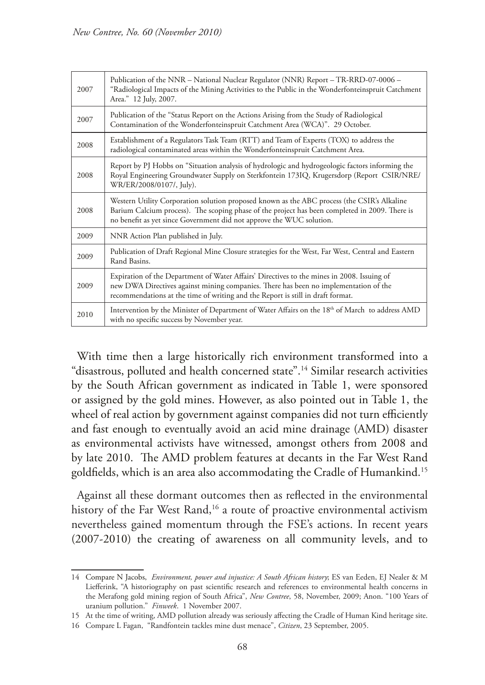| 2007 | Publication of the NNR - National Nuclear Regulator (NNR) Report - TR-RRD-07-0006 -<br>"Radiological Impacts of the Mining Activities to the Public in the Wonderfonteinspruit Catchment<br>Area." 12 July, 2007.                                                     |  |
|------|-----------------------------------------------------------------------------------------------------------------------------------------------------------------------------------------------------------------------------------------------------------------------|--|
| 2007 | Publication of the "Status Report on the Actions Arising from the Study of Radiological<br>Contamination of the Wonderfonteinspruit Catchment Area (WCA)". 29 October.                                                                                                |  |
| 2008 | Establishment of a Regulators Task Team (RTT) and Team of Experts (TOX) to address the<br>radiological contaminated areas within the Wonderfonteinspruit Catchment Area.                                                                                              |  |
| 2008 | Report by PJ Hobbs on "Situation analysis of hydrologic and hydrogeologic factors informing the<br>Royal Engineering Groundwater Supply on Sterkfontein 173IQ, Krugersdorp (Report CSIR/NRE/<br>WR/ER/2008/0107/, July).                                              |  |
| 2008 | Western Utility Corporation solution proposed known as the ABC process (the CSIR's Alkaline<br>Barium Calcium process). The scoping phase of the project has been completed in 2009. There is<br>no benefit as yet since Government did not approve the WUC solution. |  |
| 2009 | NNR Action Plan published in July.                                                                                                                                                                                                                                    |  |
| 2009 | Publication of Draft Regional Mine Closure strategies for the West, Far West, Central and Eastern<br>Rand Basins.                                                                                                                                                     |  |
| 2009 | Expiration of the Department of Water Affairs' Directives to the mines in 2008. Issuing of<br>new DWA Directives against mining companies. There has been no implementation of the<br>recommendations at the time of writing and the Report is still in draft format. |  |
| 2010 | Intervention by the Minister of Department of Water Affairs on the 18 <sup>th</sup> of March to address AMD<br>with no specific success by November year.                                                                                                             |  |

With time then a large historically rich environment transformed into a "disastrous, polluted and health concerned state".14 Similar research activities by the South African government as indicated in Table 1, were sponsored or assigned by the gold mines. However, as also pointed out in Table 1, the wheel of real action by government against companies did not turn efficiently and fast enough to eventually avoid an acid mine drainage (AMD) disaster as environmental activists have witnessed, amongst others from 2008 and by late 2010. The AMD problem features at decants in the Far West Rand goldfields, which is an area also accommodating the Cradle of Humankind. 15

Against all these dormant outcomes then as reflected in the environmental history of the Far West Rand,<sup>16</sup> a route of proactive environmental activism nevertheless gained momentum through the FSE's actions. In recent years (2007-2010) the creating of awareness on all community levels, and to

16 Compare L Fagan, "Randfontein tackles mine dust menace", *Citizen*, 23 September, 2005.

<sup>14</sup> Compare N Jacobs, *Environment, power and injustice: A South African history*; ES van Eeden, EJ Nealer & M Liefferink, "A historiography on past scientific research and references to environmental health concerns in the Merafong gold mining region of South Africa", *New Contree*, 58, November, 2009; Anon. "100 Years of uranium pollution." *Finweek*. 1 November 2007.

<sup>15</sup> At the time of writing, AMD pollution already was seriously affecting the Cradle of Human Kind heritage site.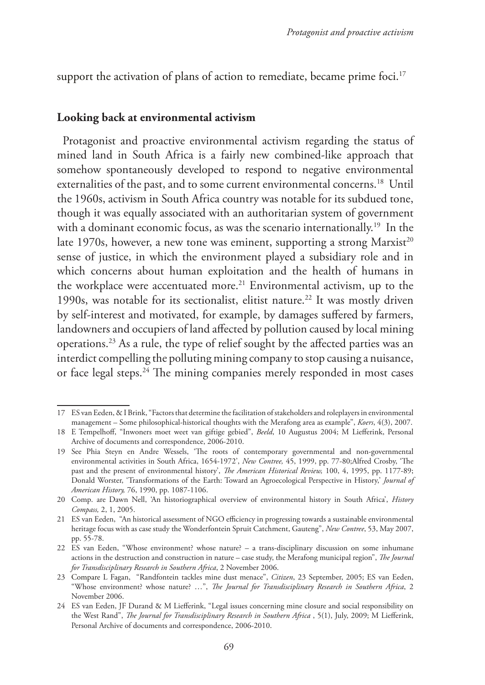support the activation of plans of action to remediate, became prime foci.<sup>17</sup>

#### **Looking back at environmental activism**

Protagonist and proactive environmental activism regarding the status of mined land in South Africa is a fairly new combined-like approach that somehow spontaneously developed to respond to negative environmental externalities of the past, and to some current environmental concerns.<sup>18</sup> Until the 1960s, activism in South Africa country was notable for its subdued tone, though it was equally associated with an authoritarian system of government with a dominant economic focus, as was the scenario internationally.<sup>19</sup> In the late 1970s, however, a new tone was eminent, supporting a strong  $Marxist^{20}$ sense of justice, in which the environment played a subsidiary role and in which concerns about human exploitation and the health of humans in the workplace were accentuated more.<sup>21</sup> Environmental activism, up to the 1990s, was notable for its sectionalist, elitist nature.<sup>22</sup> It was mostly driven by self-interest and motivated, for example, by damages suffered by farmers, landowners and occupiers of land affected by pollution caused by local mining operations.23 As a rule, the type of relief sought by the affected parties was an interdict compelling the polluting mining company to stop causing a nuisance, or face legal steps.<sup>24</sup> The mining companies merely responded in most cases

<sup>17</sup> ES van Eeden, & I Brink, "Factors that determine the facilitation of stakeholders and roleplayers in environmental management – Some philosophical-historical thoughts with the Merafong area as example", *Koers*, 4(3), 2007.

<sup>18</sup> E Tempelhoff, "Inwoners moet weet van giftige gebied", *Beeld*, 10 Augustus 2004; M Liefferink, Personal Archive of documents and correspondence, 2006-2010.

<sup>19</sup> See Phia Steyn en Andre Wessels, 'The roots of contemporary governmental and non-governmental environmental activities in South Africa, 1654-1972', *New Contree,* 45, 1999, pp. 77-80;Alfred Crosby, 'The past and the present of environmental history', *The American Historical Review,* 100, 4, 1995, pp. 1177-89; Donald Worster, 'Transformations of the Earth: Toward an Agroecological Perspective in History,' *Journal of American History,* 76, 1990, pp. 1087-1106.

<sup>20</sup> Comp. are Dawn Nell, 'An historiographical overview of environmental history in South Africa', *History Compass,* 2, 1, 2005.

<sup>21</sup> ES van Eeden, "An historical assessment of NGO efficiency in progressing towards a sustainable environmental heritage focus with as case study the Wonderfontein Spruit Catchment, Gauteng", *New Contree*, 53, May 2007, pp. 55-78.

<sup>22</sup> ES van Eeden, "Whose environment? whose nature? – a trans-disciplinary discussion on some inhumane actions in the destruction and construction in nature – case study, the Merafong municipal region", *The Journal for Transdisciplinary Research in Southern Africa*, 2 November 2006.

<sup>23</sup> Compare L Fagan, "Randfontein tackles mine dust menace", *Citizen*, 23 September, 2005; ES van Eeden, "Whose environment? whose nature? …", *The Journal for Transdisciplinary Research in Southern Africa*, 2 November 2006.

<sup>24</sup> ES van Eeden, JF Durand & M Liefferink, "Legal issues concerning mine closure and social responsibility on the West Rand", *The Journal for Transdisciplinary Research in Southern Africa* , 5(1), July, 2009; M Liefferink, Personal Archive of documents and correspondence, 2006-2010.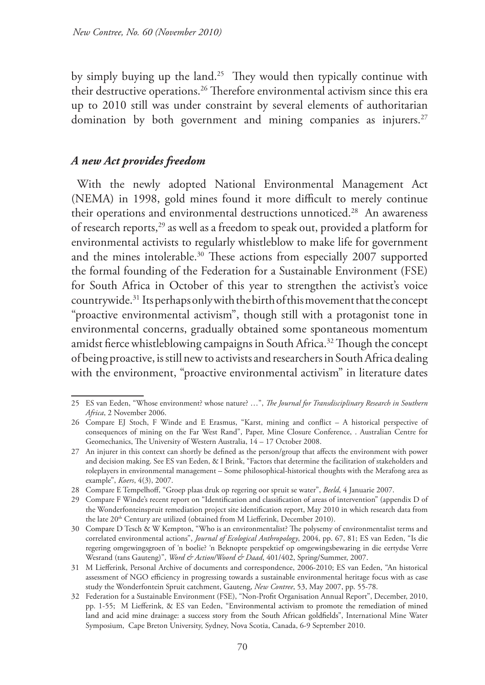by simply buying up the land.25 They would then typically continue with their destructive operations.26 Therefore environmental activism since this era up to 2010 still was under constraint by several elements of authoritarian domination by both government and mining companies as injurers.<sup>27</sup>

# *A new Act provides freedom*

With the newly adopted National Environmental Management Act (NEMA) in 1998, gold mines found it more difficult to merely continue their operations and environmental destructions unnoticed.<sup>28</sup> An awareness of research reports,29 as well as a freedom to speak out, provided a platform for environmental activists to regularly whistleblow to make life for government and the mines intolerable.30 These actions from especially 2007 supported the formal founding of the Federation for a Sustainable Environment (FSE) for South Africa in October of this year to strengthen the activist's voice countrywide.31Its perhaps only with the birth of this movement that the concept "proactive environmental activism", though still with a protagonist tone in environmental concerns, gradually obtained some spontaneous momentum amidst fierce whistleblowing campaigns in South Africa.<sup>32</sup> Though the concept of being proactive, is still new to activists and researchers in South Africa dealing with the environment, "proactive environmental activism" in literature dates

<sup>25</sup> ES van Eeden, "Whose environment? whose nature? …", *The Journal for Transdisciplinary Research in Southern Africa*, 2 November 2006.

<sup>26</sup> Compare EJ Stoch, F Winde and E Erasmus, "Karst, mining and conflict – A historical perspective of consequences of mining on the Far West Rand", Paper, Mine Closure Conference, . Australian Centre for Geomechanics, The University of Western Australia, 14 – 17 October 2008.

<sup>27</sup> An injurer in this context can shortly be defined as the person/group that affects the environment with power and decision making. See ES van Eeden, & I Brink, "Factors that determine the facilitation of stakeholders and roleplayers in environmental management – Some philosophical-historical thoughts with the Merafong area as example", *Koers*, 4(3), 2007.

<sup>28</sup> Compare E Tempelhoff, "Groep plaas druk op regering oor spruit se water", *Beeld*, 4 Januarie 2007.

<sup>29</sup> Compare F Winde's recent report on "Identification and classification of areas of intervention" (appendix D of the Wonderfonteinspruit remediation project site identification report, May 2010 in which research data from the late 20<sup>th</sup> Century are utilized (obtained from M Liefferink, December 2010).

<sup>30</sup> Compare D Tesch & W Kempton, "Who is an environmentalist? The polysemy of environmentalist terms and correlated environmental actions", *Journal of Ecological Anthropology*, 2004, pp. 67, 81; ES van Eeden, "Is die regering omgewingsgroen of 'n boelie? 'n Beknopte perspektief op omgewingsbewaring in die eertydse Verre Wesrand (tans Gauteng)", *Word & Action/Woord & Daad*, 401/402, Spring/Summer, 2007.

<sup>31</sup> M Liefferink, Personal Archive of documents and correspondence, 2006-2010; ES van Eeden, "An historical assessment of NGO efficiency in progressing towards a sustainable environmental heritage focus with as case study the Wonderfontein Spruit catchment, Gauteng, *New Contree*, 53, May 2007, pp. 55-78.

<sup>32</sup> Federation for a Sustainable Environment (FSE), "Non-Profit Organisation Annual Report", December, 2010, pp. 1-55; M Liefferink, & ES van Eeden, "Environmental activism to promote the remediation of mined land and acid mine drainage: a success story from the South African goldfields", International Mine Water Symposium, Cape Breton University, Sydney, Nova Scotia, Canada, 6-9 September 2010.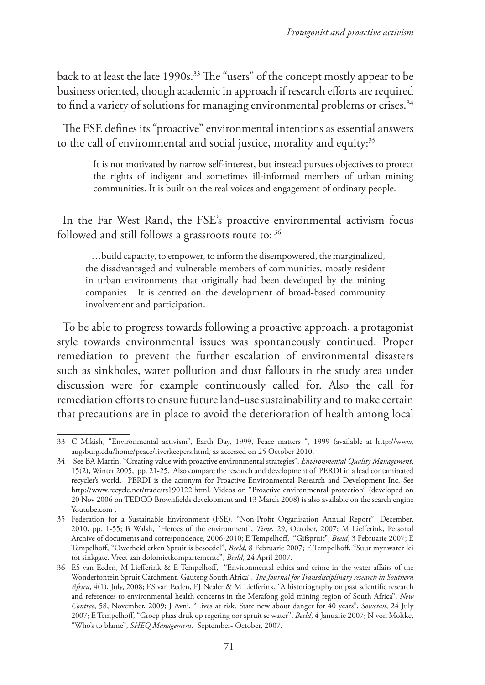back to at least the late 1990s.33 The "users" of the concept mostly appear to be business oriented, though academic in approach if research efforts are required to find a variety of solutions for managing environmental problems or crises.<sup>34</sup>

The FSE defines its "proactive" environmental intentions as essential answers to the call of environmental and social justice, morality and equity:<sup>35</sup>

> It is not motivated by narrow self-interest, but instead pursues objectives to protect the rights of indigent and sometimes ill-informed members of urban mining communities. It is built on the real voices and engagement of ordinary people.

In the Far West Rand, the FSE's proactive environmental activism focus followed and still follows a grassroots route to: 36

…build capacity, to empower, to inform the disempowered, the marginalized, the disadvantaged and vulnerable members of communities, mostly resident in urban environments that originally had been developed by the mining companies. It is centred on the development of broad-based community involvement and participation.

To be able to progress towards following a proactive approach, a protagonist style towards environmental issues was spontaneously continued. Proper remediation to prevent the further escalation of environmental disasters such as sinkholes, water pollution and dust fallouts in the study area under discussion were for example continuously called for. Also the call for remediation efforts to ensure future land-use sustainability and to make certain that precautions are in place to avoid the deterioration of health among local

<sup>33</sup> C Mikish, "Environmental activism", Earth Day, 1999, Peace matters ", 1999 (available at http://www. augsburg.edu/home/peace/riverkeepers.html, as accessed on 25 October 2010.

<sup>34</sup> See BA Martin, "Creating value with proactive environmental strategies", *Environmental Quality Management*, 15(2), Winter 2005, pp. 21-25. Also compare the research and development of PERDI in a lead contaminated recycler's world. PERDI is the acronym for Proactive Environmental Research and Development Inc. See http://www.recycle.net/trade/rs190122.html. Videos on "Proactive environmental protection" (developed on 20 Nov 2006 on TEDCO Brownfields development and 13 March 2008) is also available on the search engine Youtube.com .

<sup>35</sup> Federation for a Sustainable Environment (FSE), "Non-Profit Organisation Annual Report", December, 2010, pp. 1-55; B Walsh, "Heroes of the environment", *Time*, 29, October, 2007; M Liefferink, Personal Archive of documents and correspondence, 2006-2010; E Tempelhoff, "Gifspruit", *Beeld*, 3 Februarie 2007; E Tempelhoff, "Owerheid erken Spruit is besoedel", *Beeld*, 8 Februarie 2007; E Tempelhoff, "Suur mynwater lei tot sinkgate. Vreet aan dolomietkompartemente", *Beeld*, 24 April 2007.

<sup>36</sup> ES van Eeden, M Liefferink & E Tempelhoff, "Environmental ethics and crime in the water affairs of the Wonderfontein Spruit Catchment, Gauteng South Africa", *The Journal for Transdisciplinary research in Southern Africa*, 4(1), July, 2008; ES van Eeden, EJ Nealer & M Liefferink, "A historiography on past scientific research and references to environmental health concerns in the Merafong gold mining region of South Africa", *New Contree*, 58, November, 2009; J Avni, "Lives at risk. State new about danger for 40 years", *Sowetan*, 24 July 2007; E Tempelhoff, "Groep plaas druk op regering oor spruit se water", *Beeld*, 4 Januarie 2007; N von Moltke, "Who's to blame", *SHEQ Management.* September- October, 2007.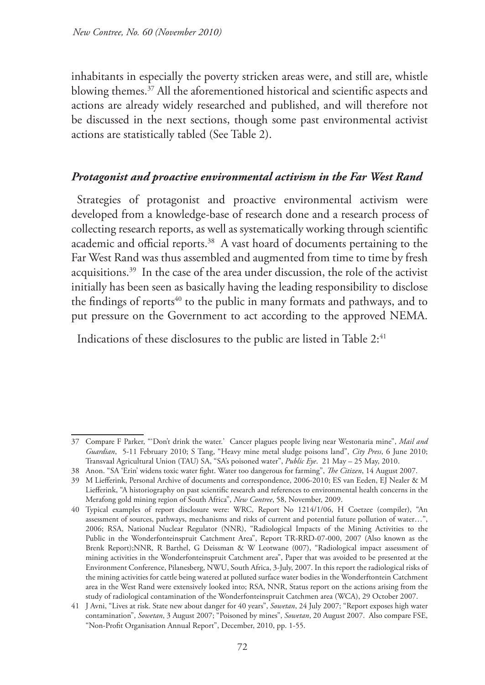inhabitants in especially the poverty stricken areas were, and still are, whistle blowing themes.37 All the aforementioned historical and scientific aspects and actions are already widely researched and published, and will therefore not be discussed in the next sections, though some past environmental activist actions are statistically tabled (See Table 2).

#### *Protagonist and proactive environmental activism in the Far West Rand*

Strategies of protagonist and proactive environmental activism were developed from a knowledge-base of research done and a research process of collecting research reports, as well as systematically working through scientific academic and official reports.38 A vast hoard of documents pertaining to the Far West Rand was thus assembled and augmented from time to time by fresh acquisitions.39 In the case of the area under discussion, the role of the activist initially has been seen as basically having the leading responsibility to disclose the findings of reports<sup>40</sup> to the public in many formats and pathways, and to put pressure on the Government to act according to the approved NEMA.

Indications of these disclosures to the public are listed in Table 2:<sup>41</sup>

<sup>37</sup> Compare F Parker, "'Don't drink the water.' Cancer plagues people living near Westonaria mine", *Mail and Guardian*, 5-11 February 2010; S Tang, "Heavy mine metal sludge poisons land", *City Press*, 6 June 2010; Transvaal Agricultural Union (TAU) SA, "SA's poisoned water", *Public Eye*. 21 May – 25 May, 2010.

<sup>38</sup> Anon. "SA 'Erin' widens toxic water fight. Water too dangerous for farming", *The Citizen*, 14 August 2007.

<sup>39</sup> M Liefferink, Personal Archive of documents and correspondence, 2006-2010; ES van Eeden, EJ Nealer & M Liefferink, "A historiography on past scientific research and references to environmental health concerns in the Merafong gold mining region of South Africa", *New Contree*, 58, November, 2009.

<sup>40</sup> Typical examples of report disclosure were: WRC, Report No 1214/1/06, H Coetzee (compiler), "An assessment of sources, pathways, mechanisms and risks of current and potential future pollution of water…", 2006; RSA, National Nuclear Regulator (NNR), "Radiological Impacts of the Mining Activities to the Public in the Wonderfonteinspruit Catchment Area", Report TR-RRD-07-000, 2007 (Also known as the Brenk Report);NNR, R Barthel, G Deissman & W Leotwane (007), "Radiological impact assessment of mining activities in the Wonderfonteinspruit Catchment area", Paper that was avoided to be presented at the Environment Conference, Pilanesberg, NWU, South Africa, 3-July, 2007. In this report the radiological risks of the mining activities for cattle being watered at polluted surface water bodies in the Wonderftontein Catchment area in the West Rand were extensively looked into; RSA, NNR, Status report on the actions arising from the study of radiological contamination of the Wonderfonteinspruit Catchmen area (WCA), 29 October 2007.

<sup>41</sup> J Avni, "Lives at risk. State new about danger for 40 years", *Sowetan*, 24 July 2007; "Report exposes high water contamination", *Sowetan*, 3 August 2007; "Poisoned by mines", *Sowetan*, 20 August 2007. Also compare FSE, "Non-Profit Organisation Annual Report", December, 2010, pp. 1-55.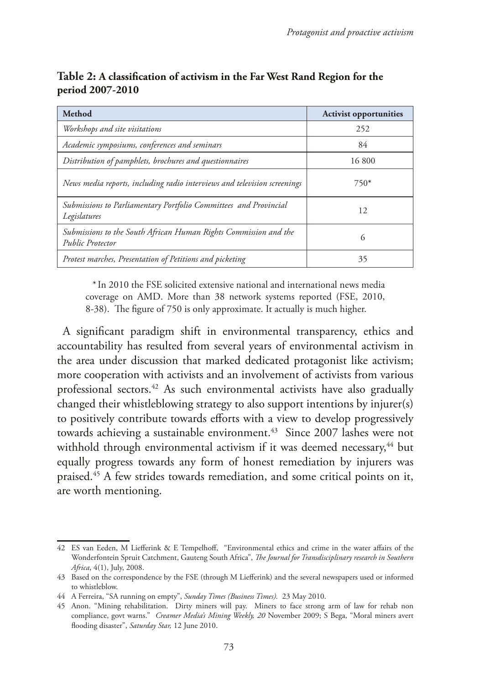| <b>Method</b>                                                                               | <b>Activist opportunities</b> |
|---------------------------------------------------------------------------------------------|-------------------------------|
| Workshops and site visitations                                                              | 252                           |
| Academic symposiums, conferences and seminars                                               | 84                            |
| Distribution of pamphlets, brochures and questionnaires                                     | 16800                         |
| News media reports, including radio interviews and television screenings                    | $750*$                        |
| Submissions to Parliamentary Portfolio Committees and Provincial<br>Legislatures            | 12                            |
| Submissions to the South African Human Rights Commission and the<br><b>Public Protector</b> | 6                             |
| Protest marches, Presentation of Petitions and picketing                                    | 35                            |

# **Table 2: A classification of activism in the Far West Rand Region for the period 2007-2010**

*\** In 2010 the FSE solicited extensive national and international news media coverage on AMD. More than 38 network systems reported (FSE, 2010, 8-38). The figure of 750 is only approximate. It actually is much higher.

A significant paradigm shift in environmental transparency, ethics and accountability has resulted from several years of environmental activism in the area under discussion that marked dedicated protagonist like activism; more cooperation with activists and an involvement of activists from various professional sectors.42 As such environmental activists have also gradually changed their whistleblowing strategy to also support intentions by injurer(s) to positively contribute towards efforts with a view to develop progressively towards achieving a sustainable environment.<sup>43</sup> Since 2007 lashes were not withhold through environmental activism if it was deemed necessary,<sup>44</sup> but equally progress towards any form of honest remediation by injurers was praised.45 A few strides towards remediation, and some critical points on it, are worth mentioning.

<sup>42</sup> ES van Eeden, M Liefferink & E Tempelhoff, "Environmental ethics and crime in the water affairs of the Wonderfontein Spruit Catchment, Gauteng South Africa", *The Journal for Transdisciplinary research in Southern Africa*, 4(1), July, 2008.

<sup>43</sup> Based on the correspondence by the FSE (through M Liefferink) and the several newspapers used or informed to whistleblow.

<sup>44</sup> A Ferreira, "SA running on empty", *Sunday Times (Business Times).* 23 May 2010.

<sup>45</sup> Anon. "Mining rehabilitation. Dirty miners will pay. Miners to face strong arm of law for rehab non compliance, govt warns." *Creamer Media's Mining Weekly, 20* November 2009; S Bega, "Moral miners avert flooding disaster", *Saturday Star,* 12 June 2010.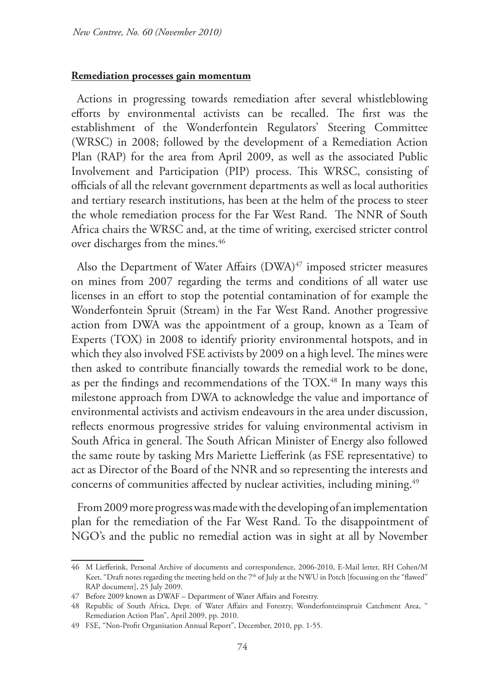#### **Remediation processes gain momentum**

Actions in progressing towards remediation after several whistleblowing efforts by environmental activists can be recalled. The first was the establishment of the Wonderfontein Regulators' Steering Committee (WRSC) in 2008; followed by the development of a Remediation Action Plan (RAP) for the area from April 2009, as well as the associated Public Involvement and Participation (PIP) process. This WRSC, consisting of officials of all the relevant government departments as well as local authorities and tertiary research institutions, has been at the helm of the process to steer the whole remediation process for the Far West Rand. The NNR of South Africa chairs the WRSC and, at the time of writing, exercised stricter control over discharges from the mines.<sup>46</sup>

Also the Department of Water Affairs  $(DWA)^{47}$  imposed stricter measures on mines from 2007 regarding the terms and conditions of all water use licenses in an effort to stop the potential contamination of for example the Wonderfontein Spruit (Stream) in the Far West Rand. Another progressive action from DWA was the appointment of a group, known as a Team of Experts (TOX) in 2008 to identify priority environmental hotspots, and in which they also involved FSE activists by 2009 on a high level. The mines were then asked to contribute financially towards the remedial work to be done, as per the findings and recommendations of the TOX.48 In many ways this milestone approach from DWA to acknowledge the value and importance of environmental activists and activism endeavours in the area under discussion, reflects enormous progressive strides for valuing environmental activism in South Africa in general. The South African Minister of Energy also followed the same route by tasking Mrs Mariette Liefferink (as FSE representative) to act as Director of the Board of the NNR and so representing the interests and concerns of communities affected by nuclear activities, including mining.<sup>49</sup>

From 2009 more progress was made with the developing of an implementation plan for the remediation of the Far West Rand. To the disappointment of NGO's and the public no remedial action was in sight at all by November

<sup>46</sup> M Liefferink, Personal Archive of documents and correspondence, 2006-2010, E-Mail letter, RH Cohen/M Keet, "Draft notes regarding the meeting held on the 7<sup>th</sup> of July at the NWU in Potch [focussing on the "flawed" RAP document], 25 July 2009.

<sup>47</sup> Before 2009 known as DWAF – Department of Water Affairs and Forestry.

<sup>48</sup> Republic of South Africa, Dept. of Water Affairs and Forestry, Wonderfonteinspruit Catchment Area, " Remediation Action Plan", April 2009, pp. 2010.

<sup>49</sup> FSE, "Non-Profit Organisation Annual Report", December, 2010, pp. 1-55.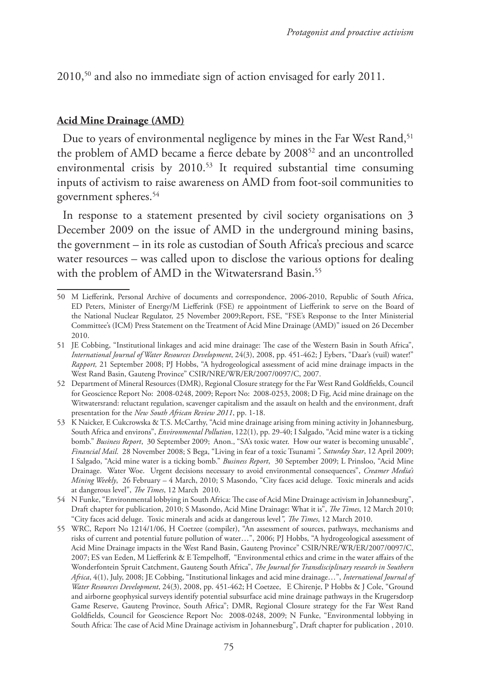2010,50 and also no immediate sign of action envisaged for early 2011.

# **Acid Mine Drainage (AMD)**

Due to years of environmental negligence by mines in the Far West Rand,<sup>51</sup> the problem of AMD became a fierce debate by 2008<sup>52</sup> and an uncontrolled environmental crisis by 2010.<sup>53</sup> It required substantial time consuming inputs of activism to raise awareness on AMD from foot-soil communities to government spheres.54

In response to a statement presented by civil society organisations on 3 December 2009 on the issue of AMD in the underground mining basins, the government – in its role as custodian of South Africa's precious and scarce water resources – was called upon to disclose the various options for dealing with the problem of AMD in the Witwatersrand Basin.<sup>55</sup>

<sup>50</sup> M Liefferink, Personal Archive of documents and correspondence, 2006-2010, Republic of South Africa, ED Peters, Minister of Energy/M Liefferink (FSE) re appointment of Liefferink to serve on the Board of the National Nuclear Regulator, 25 November 2009;Report, FSE, "FSE's Response to the Inter Ministerial Committee's (ICM) Press Statement on the Treatment of Acid Mine Drainage (AMD)" issued on 26 December 2010.

<sup>51</sup> JE Cobbing, "Institutional linkages and acid mine drainage: The case of the Western Basin in South Africa", *International Journal of Water Resources Development*, 24(3), 2008, pp. 451-462; J Eybers, "Daar's (vuil) water!" *Rapport,* 21 September 2008; PJ Hobbs, "A hydrogeological assessment of acid mine drainage impacts in the West Rand Basin, Gauteng Province" CSIR/NRE/WR/ER/2007/0097/C, 2007.

<sup>52</sup> Department of Mineral Resources (DMR), Regional Closure strategy for the Far West Rand Goldfields, Council for Geoscience Report No: 2008-0248, 2009; Report No: 2008-0253, 2008; D Fig, Acid mine drainage on the Witwatersrand: reluctant regulation, scavenger capitalism and the assault on health and the environment, draft presentation for the *New South African Review 2011*, pp. 1-18.

<sup>53</sup> K Naicker, E Cukcrowska & T.S. McCarthy, "Acid mine drainage arising from mining activity in Johannesburg, South Africa and environs", *Environmental Pollution*, 122(1), pp. 29-40; I Salgado, "Acid mine water is a ticking bomb." *Business Report*, 30 September 2009; Anon., "SA's toxic water. How our water is becoming unusable", *Financial Mail*. 28 November 2008; S Bega, "Living in fear of a toxic Tsunami*. ", Saturday Star*, 12 April 2009; I Salgado, "Acid mine water is a ticking bomb." *Business Report*, 30 September 2009; L Prinsloo, "Acid Mine Drainage. Water Woe. Urgent decisions necessary to avoid environmental consequences", *Creamer Media's Mining Weekly*, 26 February – 4 March, 2010; S Masondo, "City faces acid deluge. Toxic minerals and acids at dangerous level", *The Times*, 12 March 2010.

<sup>54</sup> N Funke, "Environmental lobbying in South Africa: The case of Acid Mine Drainage activism in Johannesburg", Draft chapter for publication, 2010; S Masondo, Acid Mine Drainage: What it is", *The Times*, 12 March 2010; "City faces acid deluge. Toxic minerals and acids at dangerous level*", The Times*, 12 March 2010.

<sup>55</sup> WRC, Report No 1214/1/06, H Coetzee (compiler), "An assessment of sources, pathways, mechanisms and risks of current and potential future pollution of water…", 2006; PJ Hobbs, "A hydrogeological assessment of Acid Mine Drainage impacts in the West Rand Basin, Gauteng Province" CSIR/NRE/WR/ER/2007/0097/C, 2007; ES van Eeden, M Liefferink & E Tempelhoff, "Environmental ethics and crime in the water affairs of the Wonderfontein Spruit Catchment, Gauteng South Africa", *The Journal for Transdisciplinary research in Southern Africa*, 4(1), July, 2008; JE Cobbing, "Institutional linkages and acid mine drainage…", *International Journal of Water Resources Development*, 24(3), 2008, pp. 451-462; H Coetzee, E Chirenje, P Hobbs & J Cole, "Ground and airborne geophysical surveys identify potential subsurface acid mine drainage pathways in the Krugersdorp Game Reserve, Gauteng Province, South Africa"; DMR, Regional Closure strategy for the Far West Rand Goldfields, Council for Geoscience Report No: 2008-0248, 2009; N Funke, "Environmental lobbying in South Africa: The case of Acid Mine Drainage activism in Johannesburg", Draft chapter for publication , 2010.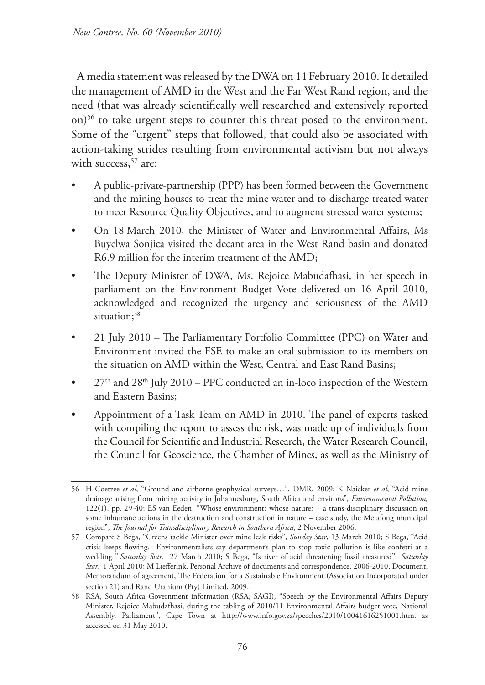A media statement was released by the DWA on 11February 2010. It detailed the management of AMD in the West and the Far West Rand region, and the need (that was already scientifically well researched and extensively reported on)<sup>56</sup> to take urgent steps to counter this threat posed to the environment. Some of the "urgent" steps that followed, that could also be associated with action-taking strides resulting from environmental activism but not always with success,<sup>57</sup> are:

- A public-private-partnership (PPP) has been formed between the Government and the mining houses to treat the mine water and to discharge treated water to meet Resource Quality Objectives, and to augment stressed water systems;
- On 18 March 2010, the Minister of Water and Environmental Affairs, Ms Buyelwa Sonjica visited the decant area in the West Rand basin and donated R6.9 million for the interim treatment of the AMD;
- The Deputy Minister of DWA, Ms. Rejoice Mabudafhasi, in her speech in parliament on the Environment Budget Vote delivered on 16 April 2010, acknowledged and recognized the urgency and seriousness of the AMD situation;<sup>58</sup>
- 21 July 2010 The Parliamentary Portfolio Committee (PPC) on Water and Environment invited the FSE to make an oral submission to its members on the situation on AMD within the West, Central and East Rand Basins;
- $27<sup>th</sup>$  and  $28<sup>th</sup>$  July 2010 PPC conducted an in-loco inspection of the Western and Eastern Basins;
- Appointment of a Task Team on AMD in 2010. The panel of experts tasked with compiling the report to assess the risk, was made up of individuals from the Council for Scientific and Industrial Research, the Water Research Council, the Council for Geoscience, the Chamber of Mines, as well as the Ministry of

<sup>56</sup> H Coetzee *et al*, "Ground and airborne geophysical surveys…", DMR, 2009; K Naicker *et al*, "Acid mine drainage arising from mining activity in Johannesburg, South Africa and environs", *Environmental Pollution*, 122(1), pp. 29-40; ES van Eeden, "Whose environment? whose nature? – a trans-disciplinary discussion on some inhumane actions in the destruction and construction in nature – case study, the Merafong municipal region", *The Journal for Transdisciplinary Research in Southern Africa*, 2 November 2006.

<sup>57</sup> Compare S Bega, "Greens tackle Minister over mine leak risks", *Sunday Star*, 13 March 2010; S Bega, "Acid crisis keeps flowing. Environmentalists say department's plan to stop toxic pollution is like confetti at a wedding*." Saturday Star*. 27 March 2010; S Bega, "Is river of acid threatening fossil treasures?" *Saturday Star.* 1 April 2010; M Liefferink, Personal Archive of documents and correspondence, 2006-2010, Document, Memorandum of agreement, The Federation for a Sustainable Environment (Association Incorporated under section 21) and Rand Uranium (Pty) Limited, 2009..

<sup>58</sup> RSA, South Africa Government information (RSA, SAGI), "Speech by the Environmental Affairs Deputy Minister, Rejoice Mabudafhasi, during the tabling of 2010/11 Environmental Affairs budget vote, National Assembly, Parliament", Cape Town at http://www.info.gov.za/speeches/2010/10041616251001.htm. as accessed on 31 May 2010.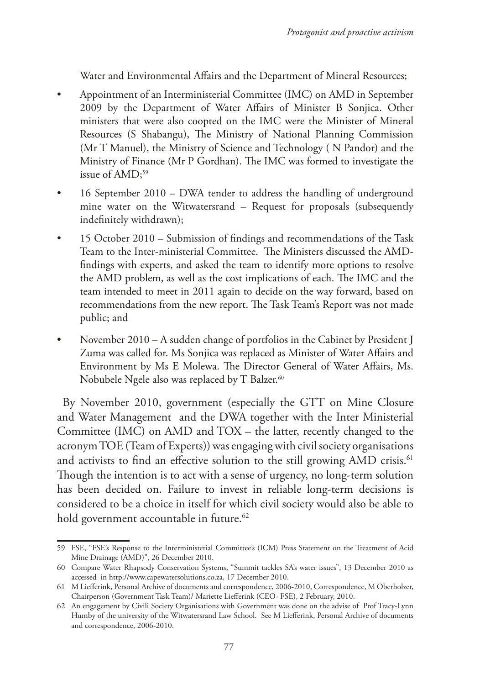Water and Environmental Affairs and the Department of Mineral Resources;

- Appointment of an Interministerial Committee (IMC) on AMD in September 2009 by the Department of Water Affairs of Minister B Sonjica. Other ministers that were also coopted on the IMC were the Minister of Mineral Resources (S Shabangu), The Ministry of National Planning Commission (Mr T Manuel), the Ministry of Science and Technology ( N Pandor) and the Ministry of Finance (Mr P Gordhan). The IMC was formed to investigate the issue of AMD;<sup>59</sup>
- 16 September 2010 DWA tender to address the handling of underground mine water on the Witwatersrand – Request for proposals (subsequently indefinitely withdrawn);
- 15 October 2010 Submission of findings and recommendations of the Task Team to the Inter-ministerial Committee. The Ministers discussed the AMDfindings with experts, and asked the team to identify more options to resolve the AMD problem, as well as the cost implications of each. The IMC and the team intended to meet in 2011 again to decide on the way forward, based on recommendations from the new report. The Task Team's Report was not made public; and
- November 2010 A sudden change of portfolios in the Cabinet by President J Zuma was called for. Ms Sonjica was replaced as Minister of Water Affairs and Environment by Ms E Molewa. The Director General of Water Affairs, Ms. Nobubele Ngele also was replaced by T Balzer.<sup>60</sup>

By November 2010, government (especially the GTT on Mine Closure and Water Management and the DWA together with the Inter Ministerial Committee (IMC) on AMD and TOX – the latter, recently changed to the acronym TOE (Team of Experts)) was engaging with civil society organisations and activists to find an effective solution to the still growing AMD crisis.<sup>61</sup> Though the intention is to act with a sense of urgency, no long-term solution has been decided on. Failure to invest in reliable long-term decisions is considered to be a choice in itself for which civil society would also be able to hold government accountable in future.<sup>62</sup>

<sup>59</sup> FSE, "FSE's Response to the Interministerial Committee's (ICM) Press Statement on the Treatment of Acid Mine Drainage (AMD)", 26 December 2010.

<sup>60</sup> Compare Water Rhapsody Conservation Systems, "Summit tackles SA's water issues", 13 December 2010 as accessed in http://www.capewatersolutions.co.za, 17 December 2010.

<sup>61</sup> M Liefferink, Personal Archive of documents and correspondence, 2006-2010, Correspondence, M Oberholzer, Chairperson (Government Task Team)/ Mariette Liefferink (CEO- FSE), 2 February, 2010.

<sup>62</sup> An engagement by Civili Society Organisations with Government was done on the advise of Prof Tracy-Lynn Humby of the university of the Witwatersrand Law School. See M Liefferink, Personal Archive of documents and correspondence, 2006-2010.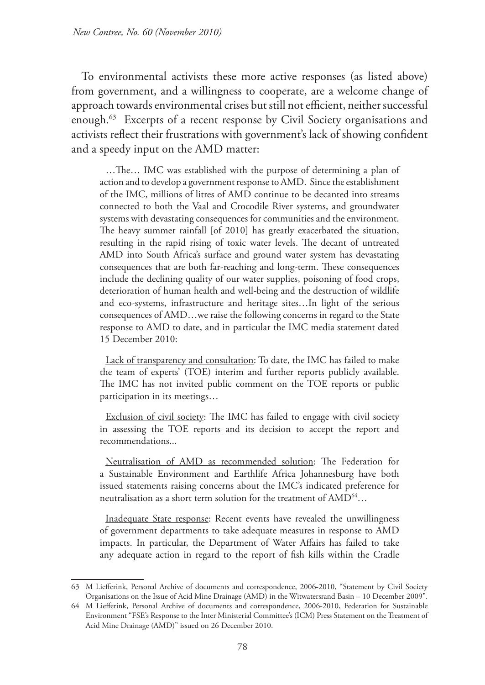To environmental activists these more active responses (as listed above) from government, and a willingness to cooperate, are a welcome change of approach towards environmental crises but still not efficient, neither successful enough.63 Excerpts of a recent response by Civil Society organisations and activists reflect their frustrations with government's lack of showing confident and a speedy input on the AMD matter:

…The… IMC was established with the purpose of determining a plan of action and to develop a government response to AMD. Since the establishment of the IMC, millions of litres of AMD continue to be decanted into streams connected to both the Vaal and Crocodile River systems, and groundwater systems with devastating consequences for communities and the environment. The heavy summer rainfall [of 2010] has greatly exacerbated the situation, resulting in the rapid rising of toxic water levels. The decant of untreated AMD into South Africa's surface and ground water system has devastating consequences that are both far-reaching and long-term. These consequences include the declining quality of our water supplies, poisoning of food crops, deterioration of human health and well-being and the destruction of wildlife and eco-systems, infrastructure and heritage sites…In light of the serious consequences of AMD…we raise the following concerns in regard to the State response to AMD to date, and in particular the IMC media statement dated 15 December 2010:

Lack of transparency and consultation: To date, the IMC has failed to make the team of experts' (TOE) interim and further reports publicly available. The IMC has not invited public comment on the TOE reports or public participation in its meetings…

Exclusion of civil society: The IMC has failed to engage with civil society in assessing the TOE reports and its decision to accept the report and recommendations...

Neutralisation of AMD as recommended solution: The Federation for a Sustainable Environment and Earthlife Africa Johannesburg have both issued statements raising concerns about the IMC's indicated preference for neutralisation as a short term solution for the treatment of AMD<sup>64</sup>...

Inadequate State response: Recent events have revealed the unwillingness of government departments to take adequate measures in response to AMD impacts. In particular, the Department of Water Affairs has failed to take any adequate action in regard to the report of fish kills within the Cradle

<sup>63</sup> M Liefferink, Personal Archive of documents and correspondence, 2006-2010, "Statement by Civil Society Organisations on the Issue of Acid Mine Drainage (AMD) in the Witwatersrand Basin – 10 December 2009".

<sup>64</sup> M Liefferink, Personal Archive of documents and correspondence, 2006-2010, Federation for Sustainable Environment "FSE's Response to the Inter Ministerial Committee's (ICM) Press Statement on the Treatment of Acid Mine Drainage (AMD)" issued on 26 December 2010.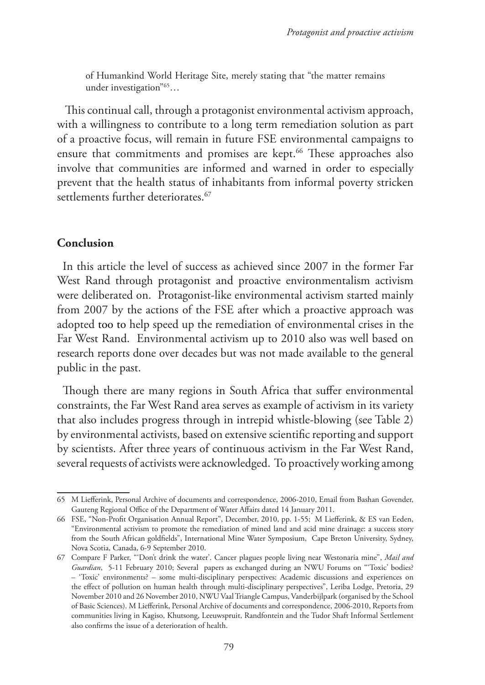of Humankind World Heritage Site, merely stating that "the matter remains under investigation"65…

 This continual call, through a protagonist environmental activism approach, with a willingness to contribute to a long term remediation solution as part of a proactive focus, will remain in future FSE environmental campaigns to ensure that commitments and promises are kept.<sup>66</sup> These approaches also involve that communities are informed and warned in order to especially prevent that the health status of inhabitants from informal poverty stricken settlements further deteriorates.<sup>67</sup>

# **Conclusion**

In this article the level of success as achieved since 2007 in the former Far West Rand through protagonist and proactive environmentalism activism were deliberated on. Protagonist-like environmental activism started mainly from 2007 by the actions of the FSE after which a proactive approach was adopted too to help speed up the remediation of environmental crises in the Far West Rand. Environmental activism up to 2010 also was well based on research reports done over decades but was not made available to the general public in the past.

Though there are many regions in South Africa that suffer environmental constraints, the Far West Rand area serves as example of activism in its variety that also includes progress through in intrepid whistle-blowing (see Table 2) by environmental activists, based on extensive scientific reporting and support by scientists. After three years of continuous activism in the Far West Rand, several requests of activists were acknowledged. To proactively working among

<sup>65</sup> M Liefferink, Personal Archive of documents and correspondence, 2006-2010, Email from Bashan Govender, Gauteng Regional Office of the Department of Water Affairs dated 14 January 2011.

<sup>66</sup> FSE, "Non-Profit Organisation Annual Report", December, 2010, pp. 1-55; M Liefferink, & ES van Eeden, "Environmental activism to promote the remediation of mined land and acid mine drainage: a success story from the South African goldfields", International Mine Water Symposium, Cape Breton University, Sydney, Nova Scotia, Canada, 6-9 September 2010.

<sup>67</sup> Compare F Parker, "'Don't drink the water'. Cancer plagues people living near Westonaria mine", *Mail and Guardian*, 5-11 February 2010; Several papers as exchanged during an NWU Forums on "'Toxic' bodies? – 'Toxic' environments? – some multi-disciplinary perspectives: Academic discussions and experiences on the effect of pollution on human health through multi-disciplinary perspectives", Leriba Lodge, Pretoria, 29 November 2010 and 26 November 2010, NWU Vaal Triangle Campus, Vanderbijlpark (organised by the School of Basic Sciences). M Liefferink, Personal Archive of documents and correspondence, 2006-2010, Reports from communities living in Kagiso, Khutsong, Leeuwspruit, Randfontein and the Tudor Shaft Informal Settlement also confirms the issue of a deterioration of health.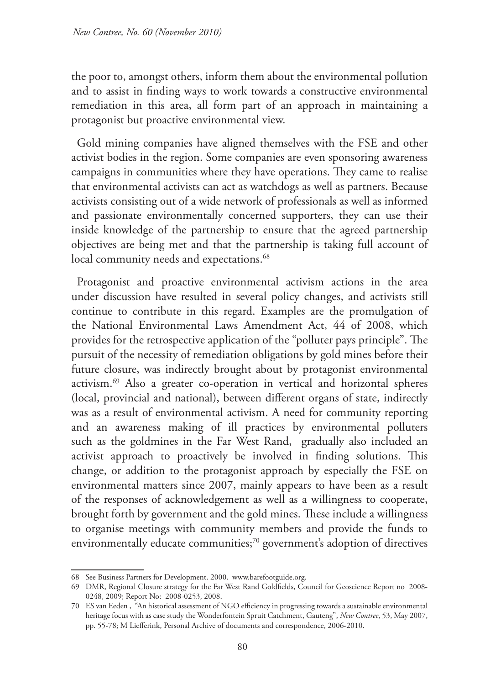the poor to, amongst others, inform them about the environmental pollution and to assist in finding ways to work towards a constructive environmental remediation in this area, all form part of an approach in maintaining a protagonist but proactive environmental view.

Gold mining companies have aligned themselves with the FSE and other activist bodies in the region. Some companies are even sponsoring awareness campaigns in communities where they have operations. They came to realise that environmental activists can act as watchdogs as well as partners. Because activists consisting out of a wide network of professionals as well as informed and passionate environmentally concerned supporters, they can use their inside knowledge of the partnership to ensure that the agreed partnership objectives are being met and that the partnership is taking full account of local community needs and expectations.<sup>68</sup>

Protagonist and proactive environmental activism actions in the area under discussion have resulted in several policy changes, and activists still continue to contribute in this regard. Examples are the promulgation of the National Environmental Laws Amendment Act, 44 of 2008, which provides for the retrospective application of the "polluter pays principle". The pursuit of the necessity of remediation obligations by gold mines before their future closure, was indirectly brought about by protagonist environmental activism.69 Also a greater co-operation in vertical and horizontal spheres (local, provincial and national), between different organs of state, indirectly was as a result of environmental activism. A need for community reporting and an awareness making of ill practices by environmental polluters such as the goldmines in the Far West Rand, gradually also included an activist approach to proactively be involved in finding solutions. This change, or addition to the protagonist approach by especially the FSE on environmental matters since 2007, mainly appears to have been as a result of the responses of acknowledgement as well as a willingness to cooperate, brought forth by government and the gold mines. These include a willingness to organise meetings with community members and provide the funds to environmentally educate communities;<sup>70</sup> government's adoption of directives

<sup>68</sup> See Business Partners for Development. 2000.www.barefootguide.org.

<sup>69</sup> DMR, Regional Closure strategy for the Far West Rand Goldfields, Council for Geoscience Report no 2008- 0248, 2009; Report No: 2008-0253, 2008.

<sup>70</sup> ES van Eeden , "An historical assessment of NGO efficiency in progressing towards a sustainable environmental heritage focus with as case study the Wonderfontein Spruit Catchment, Gauteng", *New Contree*, 53, May 2007, pp. 55-78; M Liefferink, Personal Archive of documents and correspondence, 2006-2010.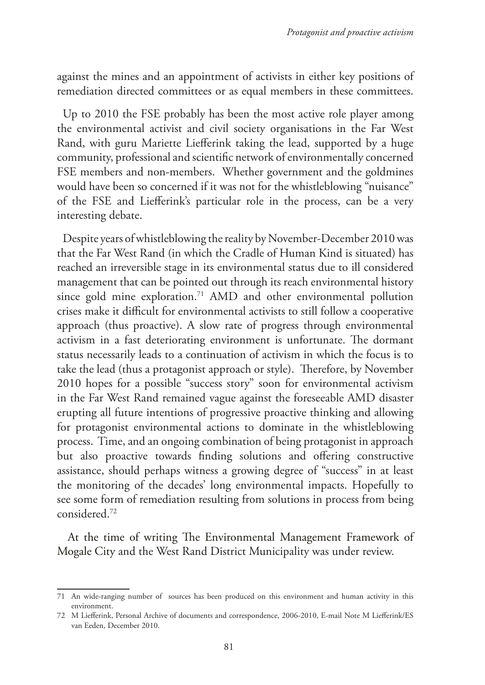against the mines and an appointment of activists in either key positions of remediation directed committees or as equal members in these committees.

Up to 2010 the FSE probably has been the most active role player among the environmental activist and civil society organisations in the Far West Rand, with guru Mariette Liefferink taking the lead, supported by a huge community, professional and scientific network of environmentally concerned FSE members and non-members. Whether government and the goldmines would have been so concerned if it was not for the whistleblowing "nuisance" of the FSE and Liefferink's particular role in the process, can be a very interesting debate.

Despite years of whistleblowing the reality by November-December 2010 was that the Far West Rand (in which the Cradle of Human Kind is situated) has reached an irreversible stage in its environmental status due to ill considered management that can be pointed out through its reach environmental history since gold mine exploration.<sup>71</sup> AMD and other environmental pollution crises make it difficult for environmental activists to still follow a cooperative approach (thus proactive). A slow rate of progress through environmental activism in a fast deteriorating environment is unfortunate. The dormant status necessarily leads to a continuation of activism in which the focus is to take the lead (thus a protagonist approach or style). Therefore, by November 2010 hopes for a possible "success story" soon for environmental activism in the Far West Rand remained vague against the foreseeable AMD disaster erupting all future intentions of progressive proactive thinking and allowing for protagonist environmental actions to dominate in the whistleblowing process. Time, and an ongoing combination of being protagonist in approach but also proactive towards finding solutions and offering constructive assistance, should perhaps witness a growing degree of "success" in at least the monitoring of the decades' long environmental impacts. Hopefully to see some form of remediation resulting from solutions in process from being considered.72

 At the time of writing The Environmental Management Framework of Mogale City and the West Rand District Municipality was under review.

<sup>71</sup> An wide-ranging number of sources has been produced on this environment and human activity in this environment.

<sup>72</sup> M Liefferink, Personal Archive of documents and correspondence, 2006-2010, E-mail Note M Liefferink/ES van Eeden, December 2010.